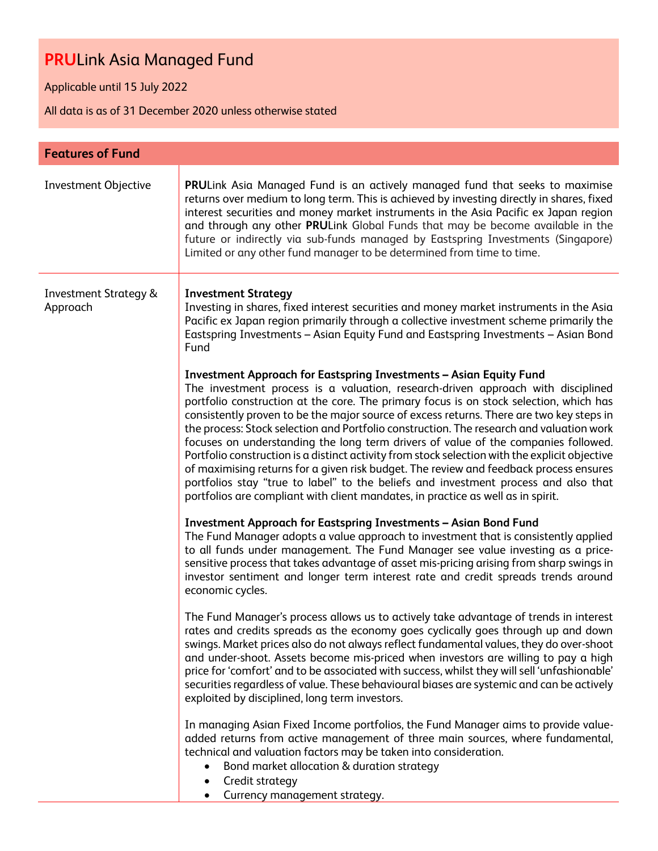Applicable until 15 July 2022

| <b>Features of Fund</b>                      |                                                                                                                                                                                                                                                                                                                                                                                                                                                                                                                                                                                                                                                                                                                                                                                                                                                                                                              |
|----------------------------------------------|--------------------------------------------------------------------------------------------------------------------------------------------------------------------------------------------------------------------------------------------------------------------------------------------------------------------------------------------------------------------------------------------------------------------------------------------------------------------------------------------------------------------------------------------------------------------------------------------------------------------------------------------------------------------------------------------------------------------------------------------------------------------------------------------------------------------------------------------------------------------------------------------------------------|
| Investment Objective                         | PRULink Asia Managed Fund is an actively managed fund that seeks to maximise<br>returns over medium to long term. This is achieved by investing directly in shares, fixed<br>interest securities and money market instruments in the Asia Pacific ex Japan region<br>and through any other PRULink Global Funds that may be become available in the<br>future or indirectly via sub-funds managed by Eastspring Investments (Singapore)<br>Limited or any other fund manager to be determined from time to time.                                                                                                                                                                                                                                                                                                                                                                                             |
| <b>Investment Strategy &amp;</b><br>Approach | <b>Investment Strategy</b><br>Investing in shares, fixed interest securities and money market instruments in the Asia<br>Pacific ex Japan region primarily through a collective investment scheme primarily the<br>Eastspring Investments - Asian Equity Fund and Eastspring Investments - Asian Bond<br>Fund                                                                                                                                                                                                                                                                                                                                                                                                                                                                                                                                                                                                |
|                                              | <b>Investment Approach for Eastspring Investments - Asian Equity Fund</b><br>The investment process is a valuation, research-driven approach with disciplined<br>portfolio construction at the core. The primary focus is on stock selection, which has<br>consistently proven to be the major source of excess returns. There are two key steps in<br>the process: Stock selection and Portfolio construction. The research and valuation work<br>focuses on understanding the long term drivers of value of the companies followed.<br>Portfolio construction is a distinct activity from stock selection with the explicit objective<br>of maximising returns for a given risk budget. The review and feedback process ensures<br>portfolios stay "true to label" to the beliefs and investment process and also that<br>portfolios are compliant with client mandates, in practice as well as in spirit. |
|                                              | <b>Investment Approach for Eastspring Investments - Asian Bond Fund</b><br>The Fund Manager adopts a value approach to investment that is consistently applied<br>to all funds under management. The Fund Manager see value investing as a price-<br>sensitive process that takes advantage of asset mis-pricing arising from sharp swings in<br>investor sentiment and longer term interest rate and credit spreads trends around<br>economic cycles.                                                                                                                                                                                                                                                                                                                                                                                                                                                       |
|                                              | The Fund Manager's process allows us to actively take advantage of trends in interest<br>rates and credits spreads as the economy goes cyclically goes through up and down<br>swings. Market prices also do not always reflect fundamental values, they do over-shoot<br>and under-shoot. Assets become mis-priced when investors are willing to pay a high<br>price for 'comfort' and to be associated with success, whilst they will sell 'unfashionable'<br>securities regardless of value. These behavioural biases are systemic and can be actively<br>exploited by disciplined, long term investors.                                                                                                                                                                                                                                                                                                   |
|                                              | In managing Asian Fixed Income portfolios, the Fund Manager aims to provide value-<br>added returns from active management of three main sources, where fundamental,<br>technical and valuation factors may be taken into consideration.<br>Bond market allocation & duration strategy<br>$\bullet$<br>Credit strategy<br>٠<br>Currency management strategy.                                                                                                                                                                                                                                                                                                                                                                                                                                                                                                                                                 |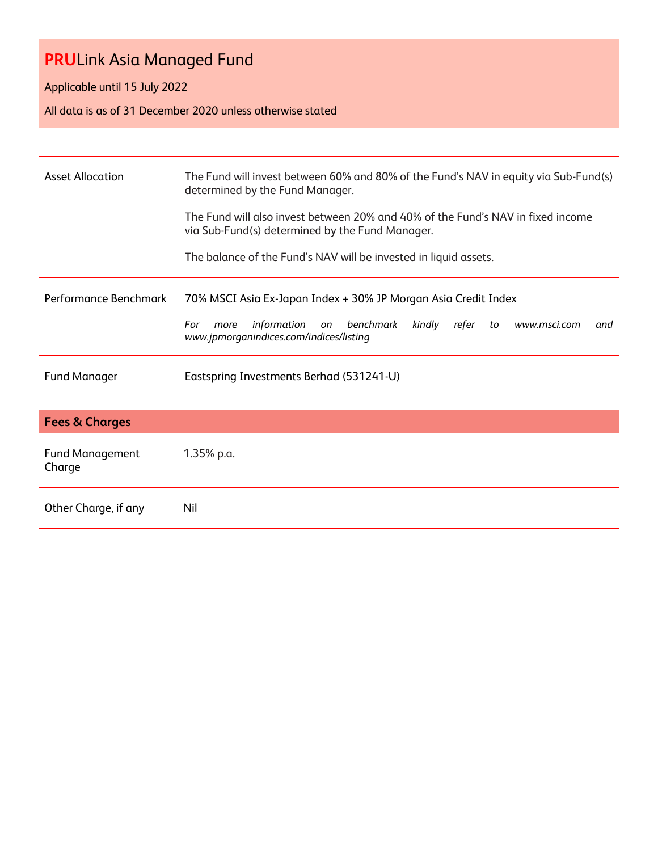Applicable until 15 July 2022

| <b>Asset Allocation</b>          | The Fund will invest between 60% and 80% of the Fund's NAV in equity via Sub-Fund(s)<br>determined by the Fund Manager.<br>The Fund will also invest between 20% and 40% of the Fund's NAV in fixed income<br>via Sub-Fund(s) determined by the Fund Manager.<br>The balance of the Fund's NAV will be invested in liquid assets. |
|----------------------------------|-----------------------------------------------------------------------------------------------------------------------------------------------------------------------------------------------------------------------------------------------------------------------------------------------------------------------------------|
| Performance Benchmark            | 70% MSCI Asia Ex-Japan Index + 30% JP Morgan Asia Credit Index<br>information<br>benchmark<br>kindly refer to<br>For<br>more<br>on<br>www.msci.com<br>and<br>www.jpmorganindices.com/indices/listing                                                                                                                              |
| <b>Fund Manager</b>              | Eastspring Investments Berhad (531241-U)                                                                                                                                                                                                                                                                                          |
|                                  |                                                                                                                                                                                                                                                                                                                                   |
| <b>Fees &amp; Charges</b>        |                                                                                                                                                                                                                                                                                                                                   |
| <b>Fund Management</b><br>Charge | $1.35%$ p.a.                                                                                                                                                                                                                                                                                                                      |
| Other Charge, if any             | Nil                                                                                                                                                                                                                                                                                                                               |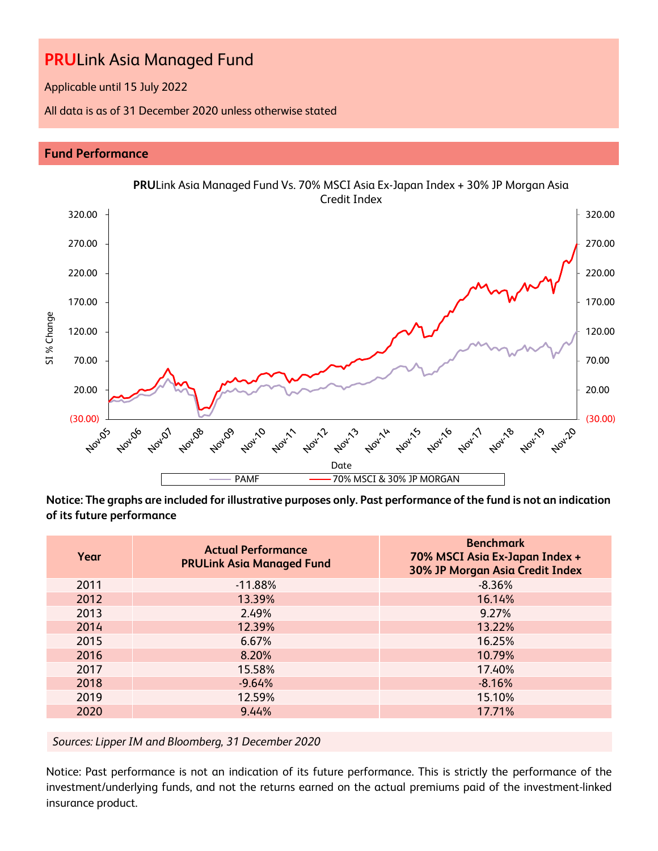Applicable until 15 July 2022

All data is as of 31 December 2020 unless otherwise stated

### **Fund Performance**



**Notice: The graphs are included for illustrative purposes only. Past performance of the fund is not an indication of its future performance**

| Year | <b>Actual Performance</b><br><b>PRULink Asia Managed Fund</b> | <b>Benchmark</b><br>70% MSCI Asia Ex-Japan Index +<br>30% JP Morgan Asia Credit Index |
|------|---------------------------------------------------------------|---------------------------------------------------------------------------------------|
| 2011 | $-11.88%$                                                     | $-8.36%$                                                                              |
| 2012 | 13.39%                                                        | 16.14%                                                                                |
| 2013 | 2.49%                                                         | 9.27%                                                                                 |
| 2014 | 12.39%                                                        | 13.22%                                                                                |
| 2015 | 6.67%                                                         | 16.25%                                                                                |
| 2016 | 8.20%                                                         | 10.79%                                                                                |
| 2017 | 15.58%                                                        | 17.40%                                                                                |
| 2018 | $-9.64%$                                                      | $-8.16%$                                                                              |
| 2019 | 12.59%                                                        | 15.10%                                                                                |
| 2020 | 9.44%                                                         | 17.71%                                                                                |

*Sources: Lipper IM and Bloomberg, 31 December 2020*

Notice: Past performance is not an indication of its future performance. This is strictly the performance of the investment/underlying funds, and not the returns earned on the actual premiums paid of the investment-linked insurance product.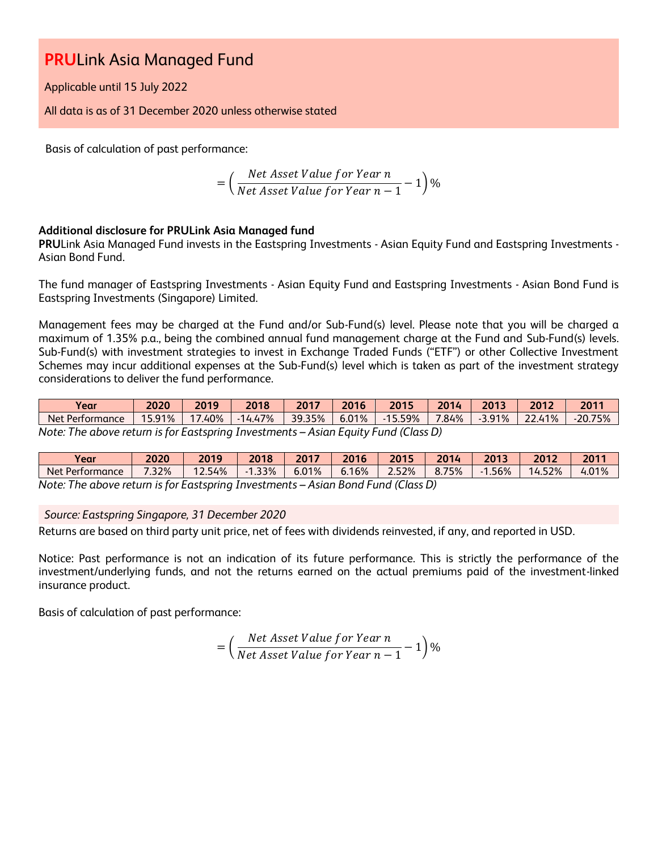Applicable until 15 July 2022

All data is as of 31 December 2020 unless otherwise stated

Basis of calculation of past performance:

= ( Net Asset Value for Year n  $\frac{1}{\sqrt{1-\frac{1}{n}}}$  1)%<br>Net Asset Value for Year  $n-1$ 

### **Additional disclosure for PRULink Asia Managed fund**

**PRU**Link Asia Managed Fund invests in the Eastspring Investments - Asian Equity Fund and Eastspring Investments - Asian Bond Fund.

The fund manager of Eastspring Investments - Asian Equity Fund and Eastspring Investments - Asian Bond Fund is Eastspring Investments (Singapore) Limited.

Management fees may be charged at the Fund and/or Sub-Fund(s) level. Please note that you will be charged a maximum of 1.35% p.a., being the combined annual fund management charge at the Fund and Sub-Fund(s) levels. Sub-Fund(s) with investment strategies to invest in Exchange Traded Funds ("ETF") or other Collective Investment Schemes may incur additional expenses at the Sub-Fund(s) level which is taken as part of the investment strategy considerations to deliver the fund performance.

| Vear                                                                               | 2020 | 2019            | 2018      | 2017   | 2016  | 2015      | 2014  | 2013      | 2012   | 2011      |
|------------------------------------------------------------------------------------|------|-----------------|-----------|--------|-------|-----------|-------|-----------|--------|-----------|
| Net Performance                                                                    |      | 15.91%   17.40% | $-14.47%$ | 39.35% | 6.01% | -15.59% l | 7.84% | $-3.91\%$ | 22.41% | $-20.75%$ |
| Note: The above return is for Eastspring Investments – Asian Equity Fund (Class D) |      |                 |           |        |       |           |       |           |        |           |

| Year                                    | 2020  | 2019                | 2018 | 2017       | 2016                  | 2015                     | 201<br>.<br>Zu | 2013        | 2012                         | 2011  |
|-----------------------------------------|-------|---------------------|------|------------|-----------------------|--------------------------|----------------|-------------|------------------------------|-------|
| $\sqrt{2}$<br><b>Net</b><br>Performance | 7.32% | .54%<br>$\sim$<br>. | .33% | 01%<br>b.b | 16%<br>$\mathbf{U}$ . | 2.52%                    | 75%            | .56%<br>- 1 | 4.52%<br>-<br>$\overline{a}$ | 4.01% |
| $\cdots$                                |       |                     |      |            |                       | $\overline{\phantom{a}}$ | $\sim$         |             |                              |       |

*Note: The above return is for Eastspring Investments – Asian Bond Fund (Class D)*

#### *Source: Eastspring Singapore, 31 December 2020*

Returns are based on third party unit price, net of fees with dividends reinvested, if any, and reported in USD.

Notice: Past performance is not an indication of its future performance. This is strictly the performance of the investment/underlying funds, and not the returns earned on the actual premiums paid of the investment-linked insurance product.

Basis of calculation of past performance:

$$
= \left(\frac{Net\ Asset\ Value\ for\ Year\ n}{Net\ Asset\ Value\ for\ Year\ n-1} - 1\right)\%
$$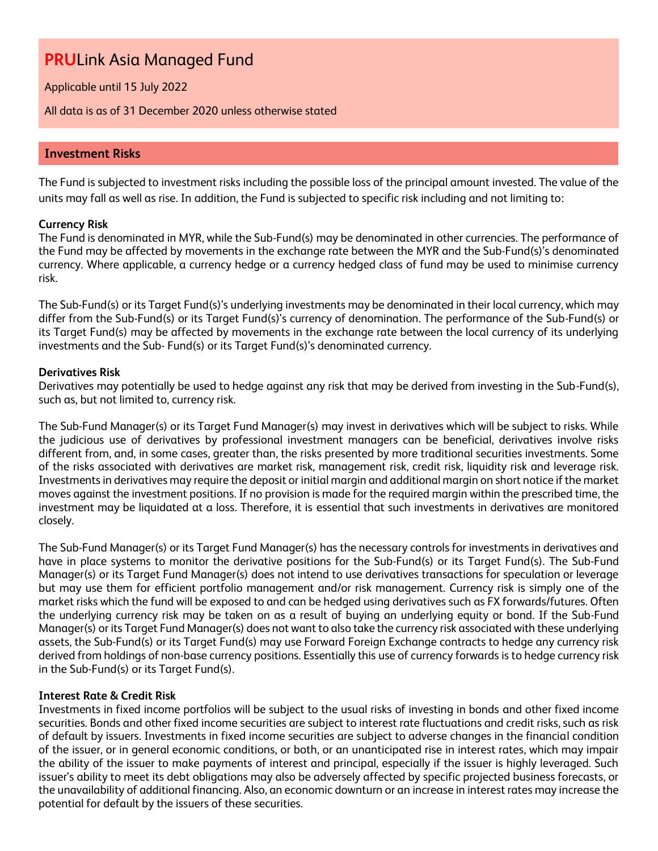Applicable until 15 July 2022

All data is as of 31 December 2020 unless otherwise stated

### **Investment Risks**

The Fund is subjected to investment risks including the possible loss of the principal amount invested. The value of the units may fall as well as rise. In addition, the Fund is subjected to specific risk including and not limiting to:

### **Currency Risk**

The Fund is denominated in MYR, while the Sub-Fund(s) may be denominated in other currencies. The performance of the Fund may be affected by movements in the exchange rate between the MYR and the Sub-Fund(s)'s denominated currency. Where applicable, a currency hedge or a currency hedged class of fund may be used to minimise currency risk.

The Sub-Fund(s) or its Target Fund(s)'s underlying investments may be denominated in their local currency, which may differ from the Sub-Fund(s) or its Target Fund(s)'s currency of denomination. The performance of the Sub-Fund(s) or its Target Fund(s) may be affected by movements in the exchange rate between the local currency of its underlying investments and the Sub- Fund(s) or its Target Fund(s)'s denominated currency.

#### **Derivatives Risk**

Derivatives may potentially be used to hedge against any risk that may be derived from investing in the Sub-Fund(s), such as, but not limited to, currency risk.

The Sub-Fund Manager(s) or its Target Fund Manager(s) may invest in derivatives which will be subject to risks. While the judicious use of derivatives by professional investment managers can be beneficial, derivatives involve risks different from, and, in some cases, greater than, the risks presented by more traditional securities investments. Some of the risks associated with derivatives are market risk, management risk, credit risk, liquidity risk and leverage risk. Investments in derivatives may require the deposit or initial margin and additional margin on short notice if the market moves against the investment positions. If no provision is made for the required margin within the prescribed time, the investment may be liquidated at a loss. Therefore, it is essential that such investments in derivatives are monitored closely.

The Sub-Fund Manager(s) or its Target Fund Manager(s) has the necessary controls for investments in derivatives and have in place systems to monitor the derivative positions for the Sub-Fund(s) or its Target Fund(s). The Sub-Fund Manager(s) or its Target Fund Manager(s) does not intend to use derivatives transactions for speculation or leverage but may use them for efficient portfolio management and/or risk management. Currency risk is simply one of the market risks which the fund will be exposed to and can be hedged using derivatives such as FX forwards/futures. Often the underlying currency risk may be taken on as a result of buying an underlying equity or bond. If the Sub-Fund Manager(s) or its Target Fund Manager(s) does not want to also take the currency risk associated with these underlying assets, the Sub-Fund(s) or its Target Fund(s) may use Forward Foreign Exchange contracts to hedge any currency risk derived from holdings of non-base currency positions. Essentially this use of currency forwards is to hedge currency risk in the Sub-Fund(s) or its Target Fund(s).

#### **Interest Rate & Credit Risk**

Investments in fixed income portfolios will be subject to the usual risks of investing in bonds and other fixed income securities. Bonds and other fixed income securities are subject to interest rate fluctuations and credit risks, such as risk of default by issuers. Investments in fixed income securities are subject to adverse changes in the financial condition of the issuer, or in general economic conditions, or both, or an unanticipated rise in interest rates, which may impair the ability of the issuer to make payments of interest and principal, especially if the issuer is highly leveraged. Such issuer's ability to meet its debt obligations may also be adversely affected by specific projected business forecasts, or the unavailability of additional financing. Also, an economic downturn or an increase in interest rates may increase the potential for default by the issuers of these securities.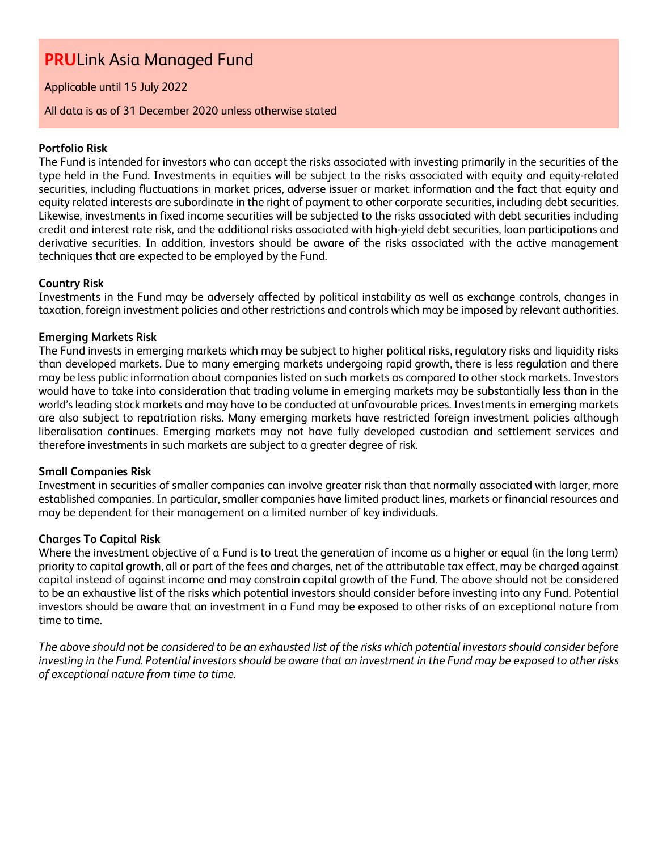### Applicable until 15 July 2022

#### All data is as of 31 December 2020 unless otherwise stated

#### **Portfolio Risk**

The Fund is intended for investors who can accept the risks associated with investing primarily in the securities of the type held in the Fund. Investments in equities will be subject to the risks associated with equity and equity-related securities, including fluctuations in market prices, adverse issuer or market information and the fact that equity and equity related interests are subordinate in the right of payment to other corporate securities, including debt securities. Likewise, investments in fixed income securities will be subjected to the risks associated with debt securities including credit and interest rate risk, and the additional risks associated with high-yield debt securities, loan participations and derivative securities. In addition, investors should be aware of the risks associated with the active management techniques that are expected to be employed by the Fund.

### **Country Risk**

Investments in the Fund may be adversely affected by political instability as well as exchange controls, changes in taxation, foreign investment policies and other restrictions and controls which may be imposed by relevant authorities.

### **Emerging Markets Risk**

The Fund invests in emerging markets which may be subject to higher political risks, regulatory risks and liquidity risks than developed markets. Due to many emerging markets undergoing rapid growth, there is less regulation and there may be less public information about companies listed on such markets as compared to other stock markets. Investors would have to take into consideration that trading volume in emerging markets may be substantially less than in the world's leading stock markets and may have to be conducted at unfavourable prices. Investments in emerging markets are also subject to repatriation risks. Many emerging markets have restricted foreign investment policies although liberalisation continues. Emerging markets may not have fully developed custodian and settlement services and therefore investments in such markets are subject to a greater degree of risk.

#### **Small Companies Risk**

Investment in securities of smaller companies can involve greater risk than that normally associated with larger, more established companies. In particular, smaller companies have limited product lines, markets or financial resources and may be dependent for their management on a limited number of key individuals.

#### **Charges To Capital Risk**

Where the investment objective of a Fund is to treat the generation of income as a higher or equal (in the long term) priority to capital growth, all or part of the fees and charges, net of the attributable tax effect, may be charged against capital instead of against income and may constrain capital growth of the Fund. The above should not be considered to be an exhaustive list of the risks which potential investors should consider before investing into any Fund. Potential investors should be aware that an investment in a Fund may be exposed to other risks of an exceptional nature from time to time.

*The above should not be considered to be an exhausted list of the risks which potential investors should consider before investing in the Fund. Potential investors should be aware that an investment in the Fund may be exposed to other risks of exceptional nature from time to time.*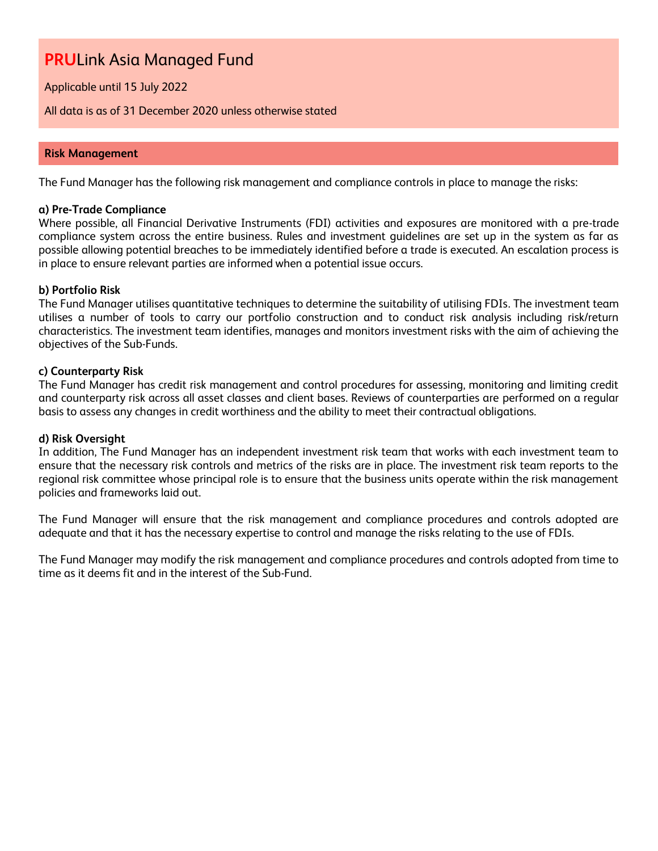Applicable until 15 July 2022

All data is as of 31 December 2020 unless otherwise stated

#### **Risk Management**

The Fund Manager has the following risk management and compliance controls in place to manage the risks:

#### **a) Pre-Trade Compliance**

Where possible, all Financial Derivative Instruments (FDI) activities and exposures are monitored with a pre-trade compliance system across the entire business. Rules and investment guidelines are set up in the system as far as possible allowing potential breaches to be immediately identified before a trade is executed. An escalation process is in place to ensure relevant parties are informed when a potential issue occurs.

#### **b) Portfolio Risk**

The Fund Manager utilises quantitative techniques to determine the suitability of utilising FDIs. The investment team utilises a number of tools to carry our portfolio construction and to conduct risk analysis including risk/return characteristics. The investment team identifies, manages and monitors investment risks with the aim of achieving the objectives of the Sub-Funds.

#### **c) Counterparty Risk**

The Fund Manager has credit risk management and control procedures for assessing, monitoring and limiting credit and counterparty risk across all asset classes and client bases. Reviews of counterparties are performed on a regular basis to assess any changes in credit worthiness and the ability to meet their contractual obligations.

#### **d) Risk Oversight**

In addition, The Fund Manager has an independent investment risk team that works with each investment team to ensure that the necessary risk controls and metrics of the risks are in place. The investment risk team reports to the regional risk committee whose principal role is to ensure that the business units operate within the risk management policies and frameworks laid out.

The Fund Manager will ensure that the risk management and compliance procedures and controls adopted are adequate and that it has the necessary expertise to control and manage the risks relating to the use of FDIs.

The Fund Manager may modify the risk management and compliance procedures and controls adopted from time to time as it deems fit and in the interest of the Sub-Fund.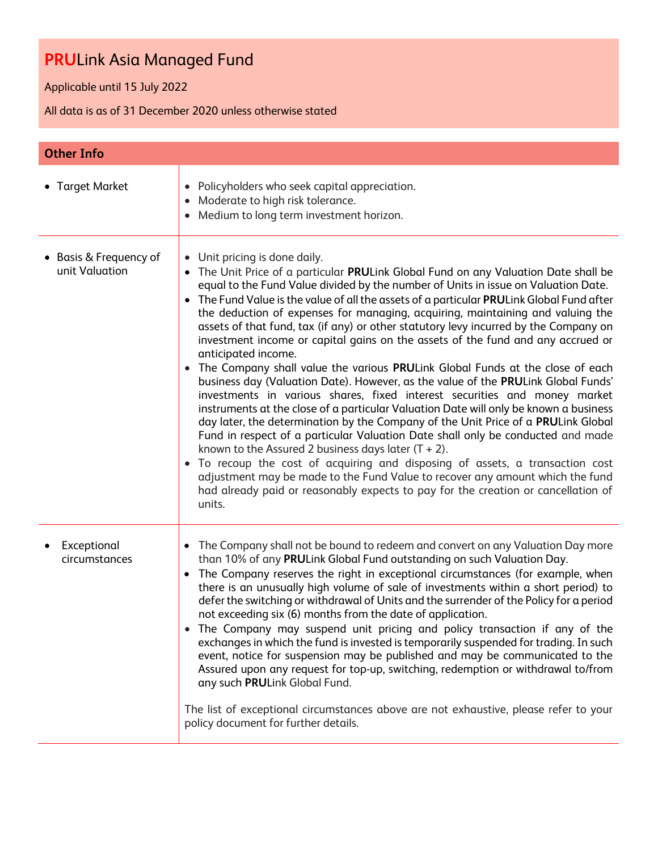Applicable until 15 July 2022

| <b>Other Info</b>                        |                                                                                                                                                                                                                                                                                                                                                                                                                                                                                                                                                                                                                                                                                                                                                                                                                                                                                                                                                                                                                                                                                                                                                                                                                                                                                                                                                                                                                                                       |
|------------------------------------------|-------------------------------------------------------------------------------------------------------------------------------------------------------------------------------------------------------------------------------------------------------------------------------------------------------------------------------------------------------------------------------------------------------------------------------------------------------------------------------------------------------------------------------------------------------------------------------------------------------------------------------------------------------------------------------------------------------------------------------------------------------------------------------------------------------------------------------------------------------------------------------------------------------------------------------------------------------------------------------------------------------------------------------------------------------------------------------------------------------------------------------------------------------------------------------------------------------------------------------------------------------------------------------------------------------------------------------------------------------------------------------------------------------------------------------------------------------|
| • Target Market                          | • Policyholders who seek capital appreciation.<br>• Moderate to high risk tolerance.<br>Medium to long term investment horizon.                                                                                                                                                                                                                                                                                                                                                                                                                                                                                                                                                                                                                                                                                                                                                                                                                                                                                                                                                                                                                                                                                                                                                                                                                                                                                                                       |
| • Basis & Frequency of<br>unit Valuation | • Unit pricing is done daily.<br>• The Unit Price of a particular PRULink Global Fund on any Valuation Date shall be<br>equal to the Fund Value divided by the number of Units in issue on Valuation Date.<br>The Fund Value is the value of all the assets of a particular PRULink Global Fund after<br>the deduction of expenses for managing, acquiring, maintaining and valuing the<br>assets of that fund, tax (if any) or other statutory levy incurred by the Company on<br>investment income or capital gains on the assets of the fund and any accrued or<br>anticipated income.<br>• The Company shall value the various PRULink Global Funds at the close of each<br>business day (Valuation Date). However, as the value of the PRULink Global Funds'<br>investments in various shares, fixed interest securities and money market<br>instruments at the close of a particular Valuation Date will only be known a business<br>day later, the determination by the Company of the Unit Price of a PRULink Global<br>Fund in respect of a particular Valuation Date shall only be conducted and made<br>known to the Assured 2 business days later $(T + 2)$ .<br>To recoup the cost of acquiring and disposing of assets, a transaction cost<br>$\bullet$<br>adjustment may be made to the Fund Value to recover any amount which the fund<br>had already paid or reasonably expects to pay for the creation or cancellation of<br>units. |
| Exceptional<br>circumstances             | The Company shall not be bound to redeem and convert on any Valuation Day more<br>$\bullet$<br>than 10% of any PRULink Global Fund outstanding on such Valuation Day.<br>The Company reserves the right in exceptional circumstances (for example, when<br>$\bullet$<br>there is an unusually high volume of sale of investments within a short period) to<br>defer the switching or withdrawal of Units and the surrender of the Policy for a period<br>not exceeding six (6) months from the date of application.<br>• The Company may suspend unit pricing and policy transaction if any of the<br>exchanges in which the fund is invested is temporarily suspended for trading. In such<br>event, notice for suspension may be published and may be communicated to the<br>Assured upon any request for top-up, switching, redemption or withdrawal to/from<br>any such PRULink Global Fund.<br>The list of exceptional circumstances above are not exhaustive, please refer to your<br>policy document for further details.                                                                                                                                                                                                                                                                                                                                                                                                                      |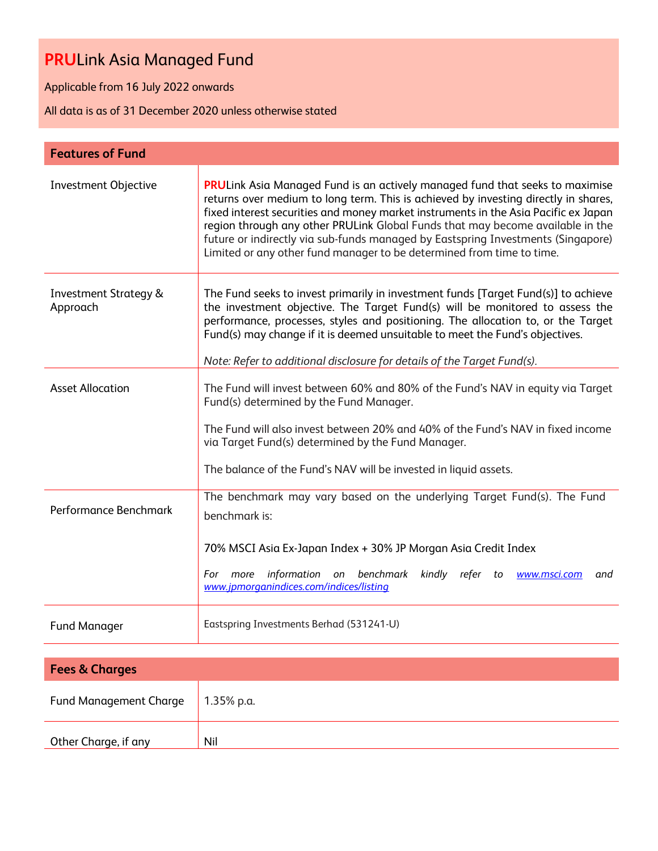Applicable from 16 July 2022 onwards

Other Charge, if any Nil

| <b>Features of Fund</b>                      |                                                                                                                                                                                                                                                                                                                                                                                                                                                                                                                  |
|----------------------------------------------|------------------------------------------------------------------------------------------------------------------------------------------------------------------------------------------------------------------------------------------------------------------------------------------------------------------------------------------------------------------------------------------------------------------------------------------------------------------------------------------------------------------|
| <b>Investment Objective</b>                  | <b>PRULink Asia Managed Fund is an actively managed fund that seeks to maximise</b><br>returns over medium to long term. This is achieved by investing directly in shares,<br>fixed interest securities and money market instruments in the Asia Pacific ex Japan<br>region through any other PRULink Global Funds that may become available in the<br>future or indirectly via sub-funds managed by Eastspring Investments (Singapore)<br>Limited or any other fund manager to be determined from time to time. |
| <b>Investment Strategy &amp;</b><br>Approach | The Fund seeks to invest primarily in investment funds [Target Fund(s)] to achieve<br>the investment objective. The Target Fund(s) will be monitored to assess the<br>performance, processes, styles and positioning. The allocation to, or the Target<br>Fund(s) may change if it is deemed unsuitable to meet the Fund's objectives.<br>Note: Refer to additional disclosure for details of the Target Fund(s).                                                                                                |
| <b>Asset Allocation</b>                      | The Fund will invest between 60% and 80% of the Fund's NAV in equity via Target<br>Fund(s) determined by the Fund Manager.<br>The Fund will also invest between 20% and 40% of the Fund's NAV in fixed income<br>via Target Fund(s) determined by the Fund Manager.<br>The balance of the Fund's NAV will be invested in liquid assets.                                                                                                                                                                          |
| Performance Benchmark                        | The benchmark may vary based on the underlying Target Fund(s). The Fund<br>benchmark is:<br>70% MSCI Asia Ex-Japan Index + 30% JP Morgan Asia Credit Index<br>information on benchmark<br>kindly refer to <b>www.msci.com</b><br>For<br>more<br>and<br>www.jpmorganindices.com/indices/listing                                                                                                                                                                                                                   |
| <b>Fund Manager</b>                          | Eastspring Investments Berhad (531241-U)                                                                                                                                                                                                                                                                                                                                                                                                                                                                         |
| <b>Fees &amp; Charges</b>                    |                                                                                                                                                                                                                                                                                                                                                                                                                                                                                                                  |
|                                              |                                                                                                                                                                                                                                                                                                                                                                                                                                                                                                                  |
| <b>Fund Management Charge</b>                | 1.35% p.a.                                                                                                                                                                                                                                                                                                                                                                                                                                                                                                       |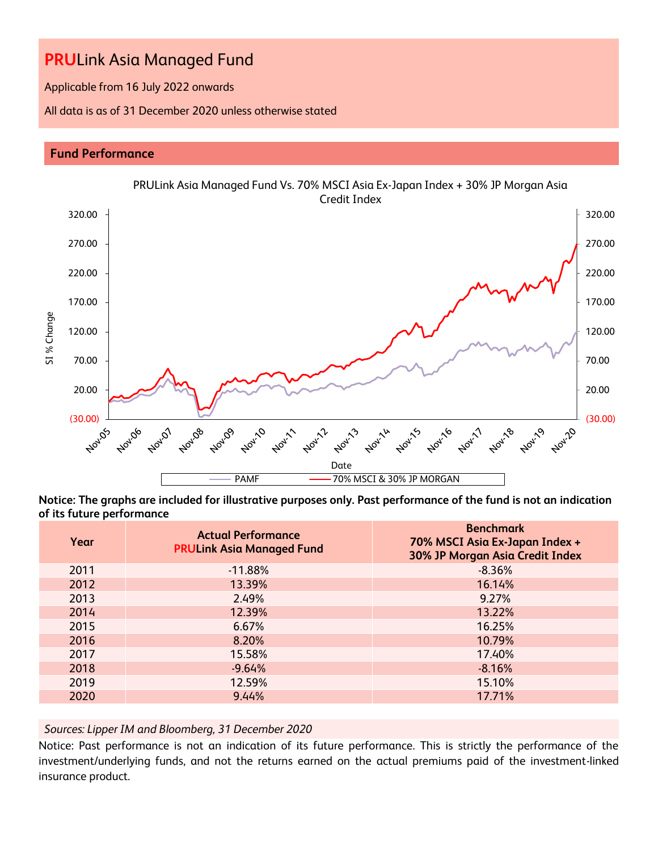Applicable from 16 July 2022 onwards

All data is as of 31 December 2020 unless otherwise stated

### **Fund Performance**



**Notice: The graphs are included for illustrative purposes only. Past performance of the fund is not an indication of its future performance**

| Year | <b>Actual Performance</b><br><b>PRULink Asia Managed Fund</b> | <b>Benchmark</b><br>70% MSCI Asia Ex-Japan Index +<br>30% JP Morgan Asia Credit Index |
|------|---------------------------------------------------------------|---------------------------------------------------------------------------------------|
| 2011 | $-11.88%$                                                     | $-8.36%$                                                                              |
| 2012 | 13.39%                                                        | 16.14%                                                                                |
| 2013 | 2.49%                                                         | 9.27%                                                                                 |
| 2014 | 12.39%                                                        | 13.22%                                                                                |
| 2015 | 6.67%                                                         | 16.25%                                                                                |
| 2016 | 8.20%                                                         | 10.79%                                                                                |
| 2017 | 15.58%                                                        | 17.40%                                                                                |
| 2018 | $-9.64%$                                                      | $-8.16%$                                                                              |
| 2019 | 12.59%                                                        | 15.10%                                                                                |
| 2020 | 9.44%                                                         | 17.71%                                                                                |

# *Sources: Lipper IM and Bloomberg, 31 December 2020*

Notice: Past performance is not an indication of its future performance. This is strictly the performance of the investment/underlying funds, and not the returns earned on the actual premiums paid of the investment-linked insurance product.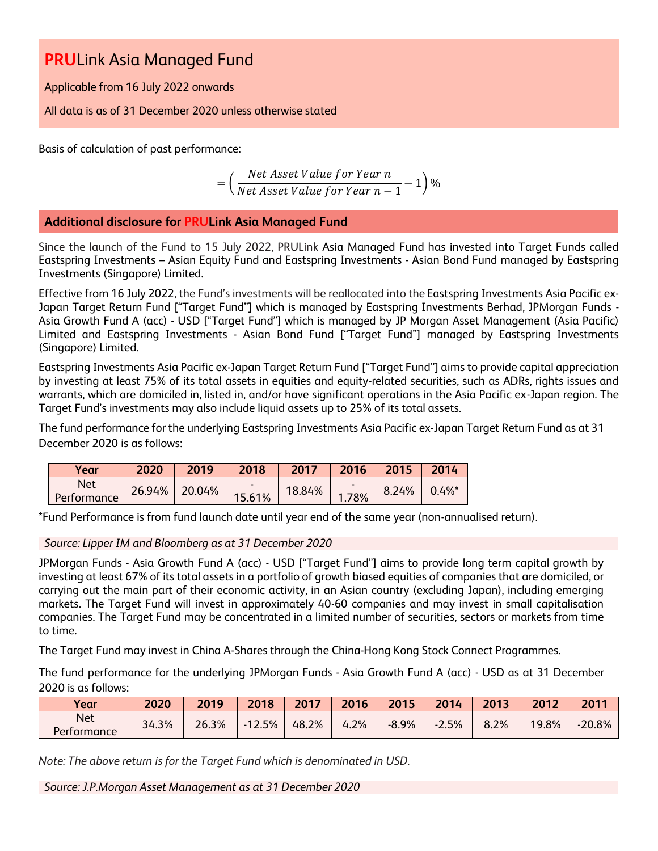Applicable from 16 July 2022 onwards

All data is as of 31 December 2020 unless otherwise stated

Basis of calculation of past performance:

$$
= \left(\frac{Net\text{ Asset Value for Year }n}{Net\text{ Asset Value for Year }n-1}-1\right)\%
$$

# **Additional disclosure for PRULink Asia Managed Fund**

Since the launch of the Fund to 15 July 2022, PRULink Asia Managed Fund has invested into Target Funds called Eastspring Investments – Asian Equity Fund and Eastspring Investments - Asian Bond Fund managed by Eastspring Investments (Singapore) Limited.

Effective from 16 July 2022, the Fund's investments will be reallocated into the Eastspring Investments Asia Pacific ex-Japan Target Return Fund ["Target Fund"] which is managed by Eastspring Investments Berhad, JPMorgan Funds - Asia Growth Fund A (acc) - USD ["Target Fund"] which is managed by JP Morgan Asset Management (Asia Pacific) Limited and Eastspring Investments - Asian Bond Fund ["Target Fund"] managed by Eastspring Investments (Singapore) Limited.

Eastspring Investments Asia Pacific ex-Japan Target Return Fund ["Target Fund"] aims to provide capital appreciation by investing at least 75% of its total assets in equities and equity-related securities, such as ADRs, rights issues and warrants, which are domiciled in, listed in, and/or have significant operations in the Asia Pacific ex-Japan region. The Target Fund's investments may also include liquid assets up to 25% of its total assets.

The fund performance for the underlying Eastspring Investments Asia Pacific ex-Japan Target Return Fund as at 31 December 2020 is as follows:

| Year        | 2020   | 2019   | 2018                     | 2017   | 2016  | 2015  | 2014                 |
|-------------|--------|--------|--------------------------|--------|-------|-------|----------------------|
| <b>Net</b>  | 26.94% | 20.04% | $\overline{\phantom{0}}$ | 18.84% | -     | 8.24% | $0.4\%$ <sup>*</sup> |
| Performance |        |        | 15.61%                   |        | 1.78% |       |                      |

\*Fund Performance is from fund launch date until year end of the same year (non-annualised return).

*Source: Lipper IM and Bloomberg as at 31 December 2020*

JPMorgan Funds - Asia Growth Fund A (acc) - USD ["Target Fund"] aims to provide long term capital growth by investing at least 67% of its total assets in a portfolio of growth biased equities of companies that are domiciled, or carrying out the main part of their economic activity, in an Asian country (excluding Japan), including emerging markets. The Target Fund will invest in approximately 40-60 companies and may invest in small capitalisation companies. The Target Fund may be concentrated in a limited number of securities, sectors or markets from time to time.

The Target Fund may invest in China A-Shares through the China-Hong Kong Stock Connect Programmes.

The fund performance for the underlying JPMorgan Funds - Asia Growth Fund A (acc) - USD as at 31 December 2020 is as follows:

| Year                      | 2020  | 2019  | 2018     | 2017  | 2016      | 2015    | 2014    | 2013 | 2012  | 2011     |
|---------------------------|-------|-------|----------|-------|-----------|---------|---------|------|-------|----------|
| <b>Net</b><br>Performance | 34.3% | 26.3% | $-12.5%$ | 48.2% | 1.2%<br>4 | $-8.9%$ | $-2.5%$ | 8.2% | 19.8% | $-20.8%$ |

*Note: The above return is for the Target Fund which is denominated in USD.* 

*Source: J.P.Morgan Asset Management as at 31 December 2020*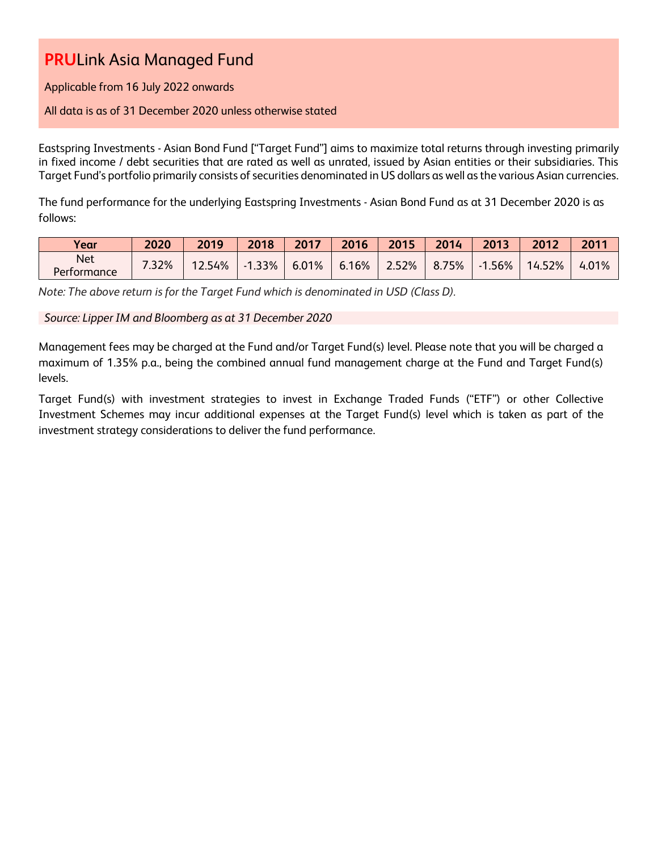Applicable from 16 July 2022 onwards

### All data is as of 31 December 2020 unless otherwise stated

Eastspring Investments - Asian Bond Fund ["Target Fund"] aims to maximize total returns through investing primarily in fixed income / debt securities that are rated as well as unrated, issued by Asian entities or their subsidiaries. This Target Fund's portfolio primarily consists of securities denominated in US dollars as well as the various Asian currencies.

The fund performance for the underlying Eastspring Investments - Asian Bond Fund as at 31 December 2020 is as follows:

| Year                      | 2020  | 2019  | 2018     | 2017  | 2016  | 2015  | 2014        | 2013 | 2012   | 2011  |
|---------------------------|-------|-------|----------|-------|-------|-------|-------------|------|--------|-------|
| <b>Net</b><br>Performance | 7.32% | 2.54% | $-1.33%$ | 6.01% | 6.16% | 2.52% | 75%<br>8.7. | .56% | 14.52% | 4.01% |

*Note: The above return is for the Target Fund which is denominated in USD (Class D).* 

### *Source: Lipper IM and Bloomberg as at 31 December 2020*

Management fees may be charged at the Fund and/or Target Fund(s) level. Please note that you will be charged a maximum of 1.35% p.a., being the combined annual fund management charge at the Fund and Target Fund(s) levels.

Target Fund(s) with investment strategies to invest in Exchange Traded Funds ("ETF") or other Collective Investment Schemes may incur additional expenses at the Target Fund(s) level which is taken as part of the investment strategy considerations to deliver the fund performance.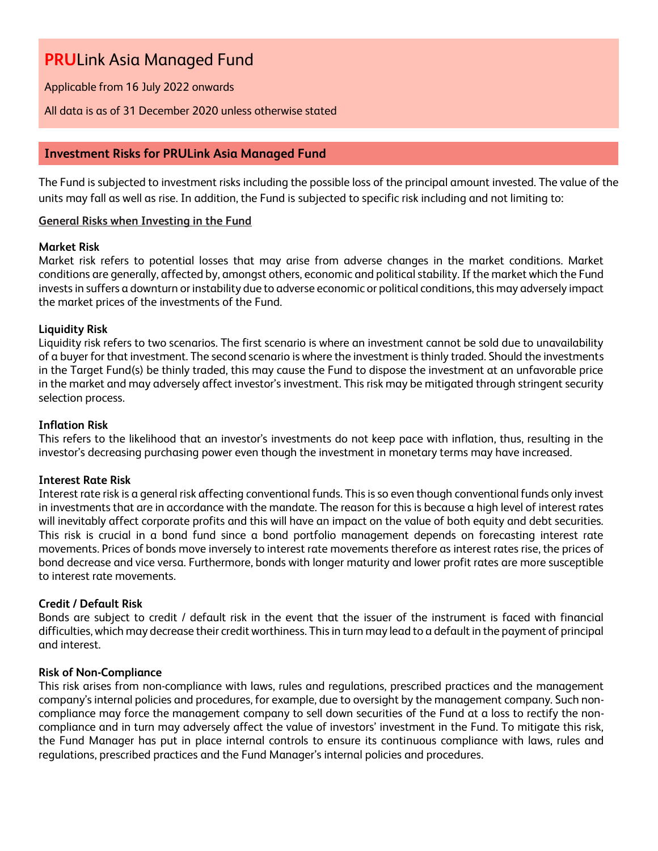Applicable from 16 July 2022 onwards

### All data is as of 31 December 2020 unless otherwise stated

# **Investment Risks for PRULink Asia Managed Fund**

The Fund is subjected to investment risks including the possible loss of the principal amount invested. The value of the units may fall as well as rise. In addition, the Fund is subjected to specific risk including and not limiting to:

### **General Risks when Investing in the Fund**

### **Market Risk**

Market risk refers to potential losses that may arise from adverse changes in the market conditions. Market conditions are generally, affected by, amongst others, economic and political stability. If the market which the Fund invests in suffers a downturn or instability due to adverse economic or political conditions, this may adversely impact the market prices of the investments of the Fund.

### **Liquidity Risk**

Liquidity risk refers to two scenarios. The first scenario is where an investment cannot be sold due to unavailability of a buyer for that investment. The second scenario is where the investment is thinly traded. Should the investments in the Target Fund(s) be thinly traded, this may cause the Fund to dispose the investment at an unfavorable price in the market and may adversely affect investor's investment. This risk may be mitigated through stringent security selection process.

### **Inflation Risk**

This refers to the likelihood that an investor's investments do not keep pace with inflation, thus, resulting in the investor's decreasing purchasing power even though the investment in monetary terms may have increased.

#### **Interest Rate Risk**

Interest rate risk is a general risk affecting conventional funds. This is so even though conventional funds only invest in investments that are in accordance with the mandate. The reason for this is because a high level of interest rates will inevitably affect corporate profits and this will have an impact on the value of both equity and debt securities. This risk is crucial in a bond fund since a bond portfolio management depends on forecasting interest rate movements. Prices of bonds move inversely to interest rate movements therefore as interest rates rise, the prices of bond decrease and vice versa. Furthermore, bonds with longer maturity and lower profit rates are more susceptible to interest rate movements.

# **Credit / Default Risk**

Bonds are subject to credit / default risk in the event that the issuer of the instrument is faced with financial difficulties, which may decrease their credit worthiness. This in turn may lead to a default in the payment of principal and interest.

#### **Risk of Non-Compliance**

This risk arises from non-compliance with laws, rules and regulations, prescribed practices and the management company's internal policies and procedures, for example, due to oversight by the management company. Such noncompliance may force the management company to sell down securities of the Fund at a loss to rectify the noncompliance and in turn may adversely affect the value of investors' investment in the Fund. To mitigate this risk, the Fund Manager has put in place internal controls to ensure its continuous compliance with laws, rules and regulations, prescribed practices and the Fund Manager's internal policies and procedures.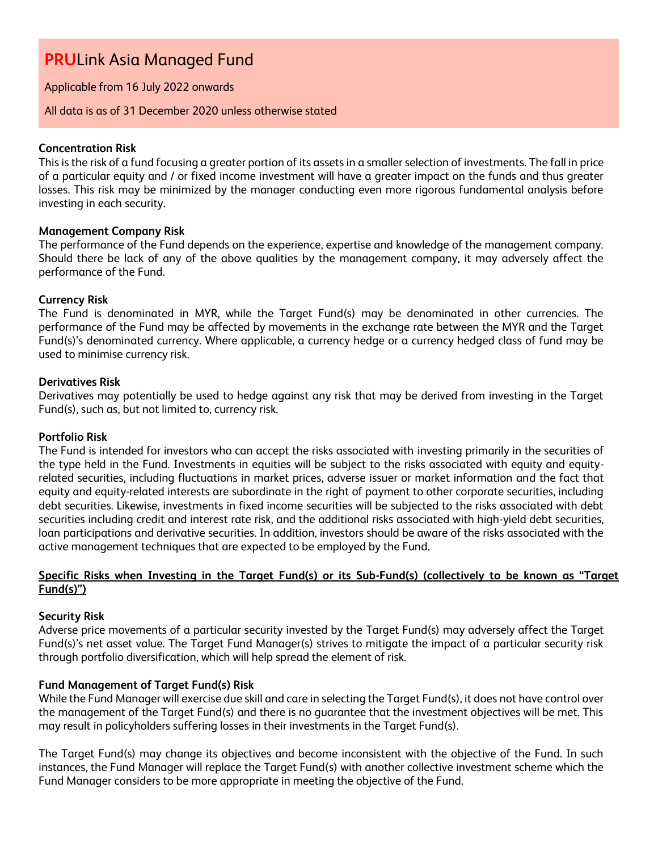### Applicable from 16 July 2022 onwards

#### All data is as of 31 December 2020 unless otherwise stated

#### **Concentration Risk**

This is the risk of a fund focusing a greater portion of its assets in a smaller selection of investments. The fall in price of a particular equity and / or fixed income investment will have a greater impact on the funds and thus greater losses. This risk may be minimized by the manager conducting even more rigorous fundamental analysis before investing in each security.

#### **Management Company Risk**

The performance of the Fund depends on the experience, expertise and knowledge of the management company. Should there be lack of any of the above qualities by the management company, it may adversely affect the performance of the Fund.

#### **Currency Risk**

The Fund is denominated in MYR, while the Target Fund(s) may be denominated in other currencies. The performance of the Fund may be affected by movements in the exchange rate between the MYR and the Target Fund(s)'s denominated currency. Where applicable, a currency hedge or a currency hedged class of fund may be used to minimise currency risk.

#### **Derivatives Risk**

Derivatives may potentially be used to hedge against any risk that may be derived from investing in the Target Fund(s), such as, but not limited to, currency risk.

#### **Portfolio Risk**

The Fund is intended for investors who can accept the risks associated with investing primarily in the securities of the type held in the Fund. Investments in equities will be subject to the risks associated with equity and equityrelated securities, including fluctuations in market prices, adverse issuer or market information and the fact that equity and equity-related interests are subordinate in the right of payment to other corporate securities, including debt securities. Likewise, investments in fixed income securities will be subjected to the risks associated with debt securities including credit and interest rate risk, and the additional risks associated with high-yield debt securities, loan participations and derivative securities. In addition, investors should be aware of the risks associated with the active management techniques that are expected to be employed by the Fund.

### **Specific Risks when Investing in the Target Fund(s) or its Sub-Fund(s) (collectively to be known as "Target Fund(s)")**

#### **Security Risk**

Adverse price movements of a particular security invested by the Target Fund(s) may adversely affect the Target Fund(s)'s net asset value. The Target Fund Manager(s) strives to mitigate the impact of a particular security risk through portfolio diversification, which will help spread the element of risk.

# **Fund Management of Target Fund(s) Risk**

While the Fund Manager will exercise due skill and care in selecting the Target Fund(s), it does not have control over the management of the Target Fund(s) and there is no guarantee that the investment objectives will be met. This may result in policyholders suffering losses in their investments in the Target Fund(s).

The Target Fund(s) may change its objectives and become inconsistent with the objective of the Fund. In such instances, the Fund Manager will replace the Target Fund(s) with another collective investment scheme which the Fund Manager considers to be more appropriate in meeting the objective of the Fund.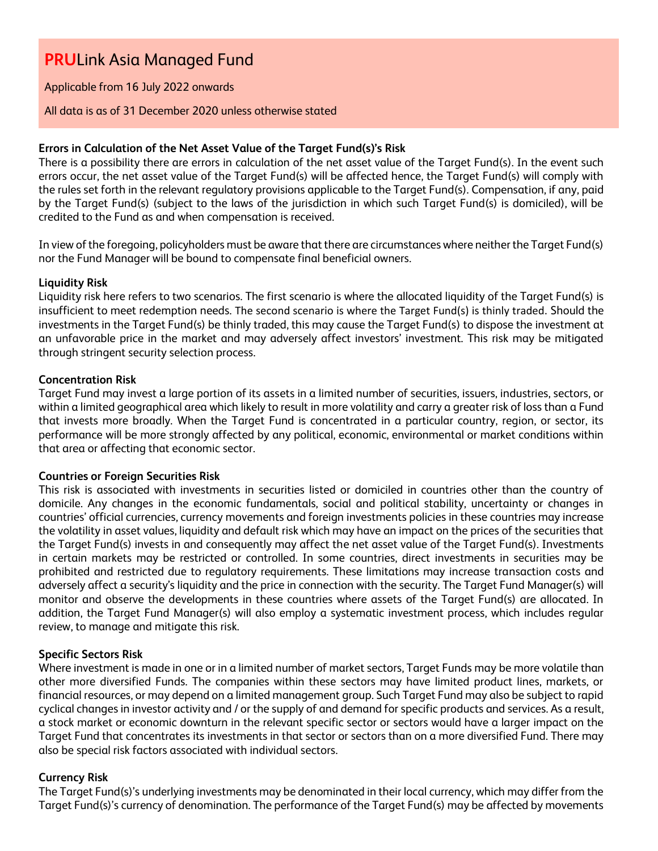Applicable from 16 July 2022 onwards

#### All data is as of 31 December 2020 unless otherwise stated

### **Errors in Calculation of the Net Asset Value of the Target Fund(s)'s Risk**

There is a possibility there are errors in calculation of the net asset value of the Target Fund(s). In the event such errors occur, the net asset value of the Target Fund(s) will be affected hence, the Target Fund(s) will comply with the rules set forth in the relevant regulatory provisions applicable to the Target Fund(s). Compensation, if any, paid by the Target Fund(s) (subject to the laws of the jurisdiction in which such Target Fund(s) is domiciled), will be credited to the Fund as and when compensation is received.

In view of the foregoing, policyholders must be aware that there are circumstances where neither the Target Fund(s) nor the Fund Manager will be bound to compensate final beneficial owners.

#### **Liquidity Risk**

Liquidity risk here refers to two scenarios. The first scenario is where the allocated liquidity of the Target Fund(s) is insufficient to meet redemption needs. The second scenario is where the Target Fund(s) is thinly traded. Should the investments in the Target Fund(s) be thinly traded, this may cause the Target Fund(s) to dispose the investment at an unfavorable price in the market and may adversely affect investors' investment. This risk may be mitigated through stringent security selection process.

### **Concentration Risk**

Target Fund may invest a large portion of its assets in a limited number of securities, issuers, industries, sectors, or within a limited geographical area which likely to result in more volatility and carry a greater risk of loss than a Fund that invests more broadly. When the Target Fund is concentrated in a particular country, region, or sector, its performance will be more strongly affected by any political, economic, environmental or market conditions within that area or affecting that economic sector.

# **Countries or Foreign Securities Risk**

This risk is associated with investments in securities listed or domiciled in countries other than the country of domicile. Any changes in the economic fundamentals, social and political stability, uncertainty or changes in countries' official currencies, currency movements and foreign investments policies in these countries may increase the volatility in asset values, liquidity and default risk which may have an impact on the prices of the securities that the Target Fund(s) invests in and consequently may affect the net asset value of the Target Fund(s). Investments in certain markets may be restricted or controlled. In some countries, direct investments in securities may be prohibited and restricted due to regulatory requirements. These limitations may increase transaction costs and adversely affect a security's liquidity and the price in connection with the security. The Target Fund Manager(s) will monitor and observe the developments in these countries where assets of the Target Fund(s) are allocated. In addition, the Target Fund Manager(s) will also employ a systematic investment process, which includes regular review, to manage and mitigate this risk.

# **Specific Sectors Risk**

Where investment is made in one or in a limited number of market sectors, Target Funds may be more volatile than other more diversified Funds. The companies within these sectors may have limited product lines, markets, or financial resources, or may depend on a limited management group. Such Target Fund may also be subject to rapid cyclical changes in investor activity and / or the supply of and demand for specific products and services. As a result, a stock market or economic downturn in the relevant specific sector or sectors would have a larger impact on the Target Fund that concentrates its investments in that sector or sectors than on a more diversified Fund. There may also be special risk factors associated with individual sectors.

# **Currency Risk**

The Target Fund(s)'s underlying investments may be denominated in their local currency, which may differ from the Target Fund(s)'s currency of denomination. The performance of the Target Fund(s) may be affected by movements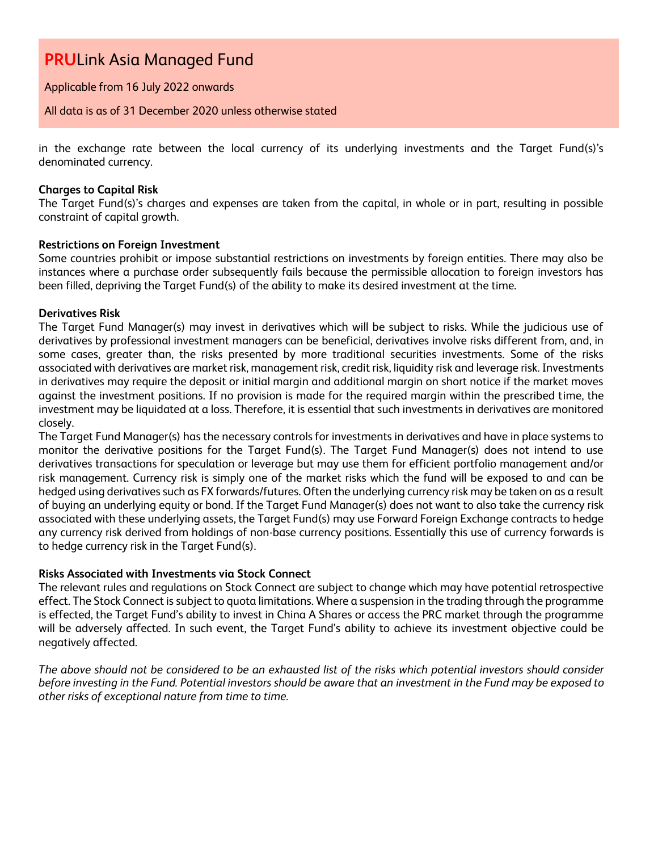Applicable from 16 July 2022 onwards

All data is as of 31 December 2020 unless otherwise stated

in the exchange rate between the local currency of its underlying investments and the Target Fund(s)'s denominated currency.

### **Charges to Capital Risk**

The Target Fund(s)'s charges and expenses are taken from the capital, in whole or in part, resulting in possible constraint of capital growth.

### **Restrictions on Foreign Investment**

Some countries prohibit or impose substantial restrictions on investments by foreign entities. There may also be instances where a purchase order subsequently fails because the permissible allocation to foreign investors has been filled, depriving the Target Fund(s) of the ability to make its desired investment at the time.

### **Derivatives Risk**

The Target Fund Manager(s) may invest in derivatives which will be subject to risks. While the judicious use of derivatives by professional investment managers can be beneficial, derivatives involve risks different from, and, in some cases, greater than, the risks presented by more traditional securities investments. Some of the risks associated with derivatives are market risk, management risk, credit risk, liquidity risk and leverage risk. Investments in derivatives may require the deposit or initial margin and additional margin on short notice if the market moves against the investment positions. If no provision is made for the required margin within the prescribed time, the investment may be liquidated at a loss. Therefore, it is essential that such investments in derivatives are monitored closely.

The Target Fund Manager(s) has the necessary controls for investments in derivatives and have in place systems to monitor the derivative positions for the Target Fund(s). The Target Fund Manager(s) does not intend to use derivatives transactions for speculation or leverage but may use them for efficient portfolio management and/or risk management. Currency risk is simply one of the market risks which the fund will be exposed to and can be hedged using derivatives such as FX forwards/futures. Often the underlying currency risk may be taken on as a result of buying an underlying equity or bond. If the Target Fund Manager(s) does not want to also take the currency risk associated with these underlying assets, the Target Fund(s) may use Forward Foreign Exchange contracts to hedge any currency risk derived from holdings of non-base currency positions. Essentially this use of currency forwards is to hedge currency risk in the Target Fund(s).

# **Risks Associated with Investments via Stock Connect**

The relevant rules and regulations on Stock Connect are subject to change which may have potential retrospective effect. The Stock Connect is subject to quota limitations. Where a suspension in the trading through the programme is effected, the Target Fund's ability to invest in China A Shares or access the PRC market through the programme will be adversely affected. In such event, the Target Fund's ability to achieve its investment objective could be negatively affected.

*The above should not be considered to be an exhausted list of the risks which potential investors should consider before investing in the Fund. Potential investors should be aware that an investment in the Fund may be exposed to other risks of exceptional nature from time to time.*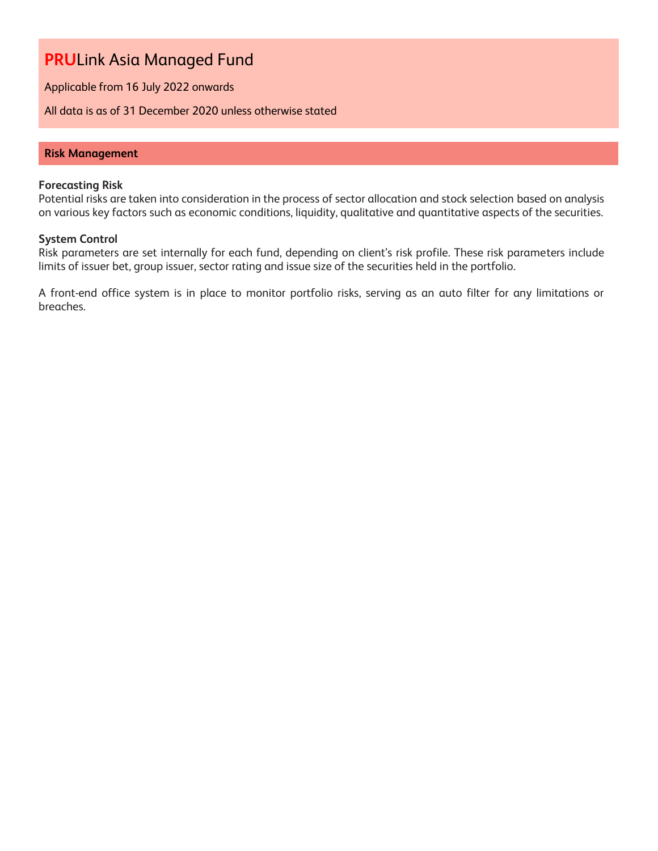Applicable from 16 July 2022 onwards

All data is as of 31 December 2020 unless otherwise stated

### **Risk Management**

#### **Forecasting Risk**

Potential risks are taken into consideration in the process of sector allocation and stock selection based on analysis on various key factors such as economic conditions, liquidity, qualitative and quantitative aspects of the securities.

#### **System Control**

Risk parameters are set internally for each fund, depending on client's risk profile. These risk parameters include limits of issuer bet, group issuer, sector rating and issue size of the securities held in the portfolio.

A front-end office system is in place to monitor portfolio risks, serving as an auto filter for any limitations or breaches.